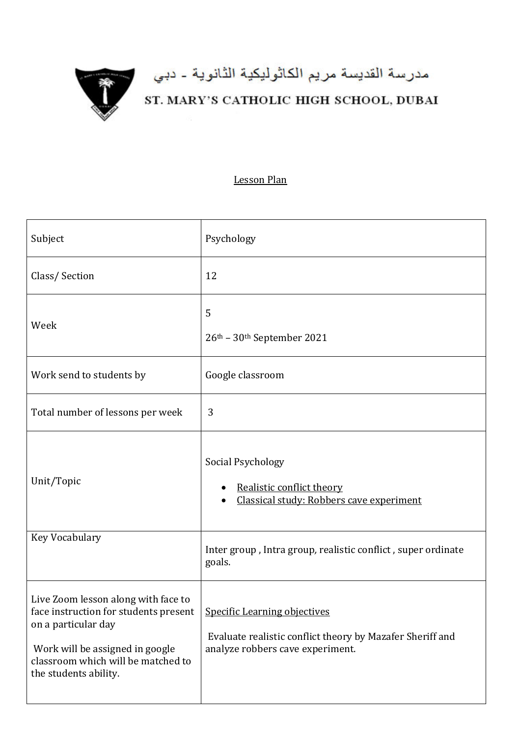

## مدرسة القديسة مريم الكاثوليكية الثانوية - دبي<br>ST. MARY'S CATHOLIC HIGH SCHOOL, DUBAI

## Lesson Plan

| Subject                                                                                                                                                                                                                                | Psychology                                                                                    |
|----------------------------------------------------------------------------------------------------------------------------------------------------------------------------------------------------------------------------------------|-----------------------------------------------------------------------------------------------|
| Class/Section                                                                                                                                                                                                                          | 12                                                                                            |
| Week                                                                                                                                                                                                                                   | 5<br>26th - 30th September 2021                                                               |
| Work send to students by                                                                                                                                                                                                               | Google classroom                                                                              |
| Total number of lessons per week                                                                                                                                                                                                       | 3                                                                                             |
| Unit/Topic                                                                                                                                                                                                                             | Social Psychology<br>Realistic conflict theory<br>Classical study: Robbers cave experiment    |
| Key Vocabulary                                                                                                                                                                                                                         | Inter group, Intra group, realistic conflict, super ordinate<br>goals.                        |
| Live Zoom lesson along with face to<br>face instruction for students present $ $ Specific Learning objectives<br>on a particular day<br>Work will be assigned in google<br>classroom which will be matched to<br>the students ability. | Evaluate realistic conflict theory by Mazafer Sheriff and<br>analyze robbers cave experiment. |